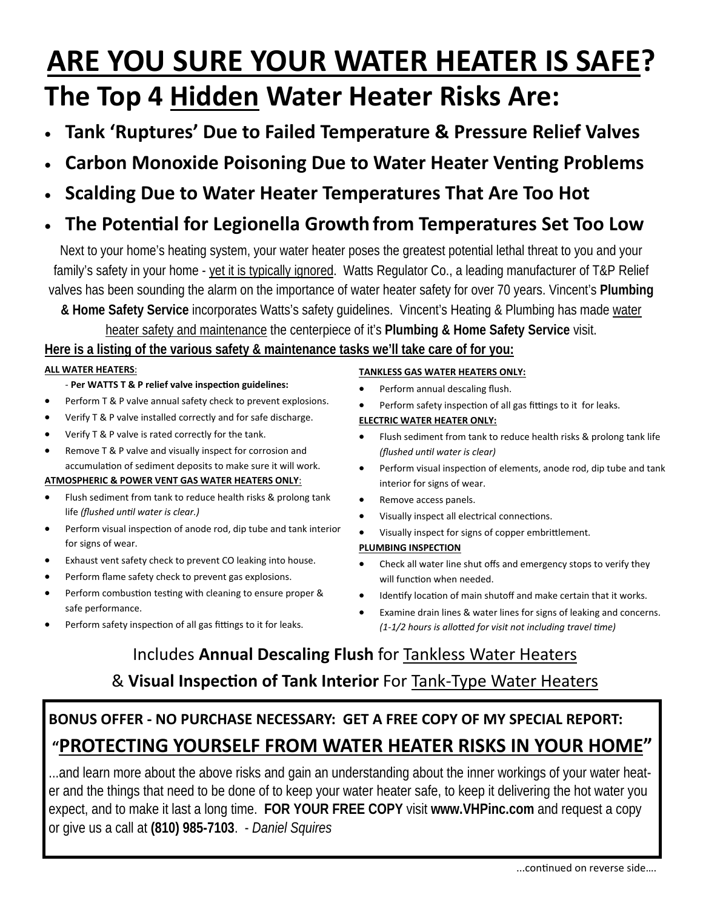## **ARE YOU SURE YOUR WATER HEATER IS SAFE? The Top 4 Hidden Water Heater Risks Are:**

- **Tank 'Ruptures' Due to Failed Temperature & Pressure Relief Valves**
- **Carbon Monoxide Poisoning Due to Water Heater Venting Problems**
- **Scalding Due to Water Heater Temperatures That Are Too Hot**

## **The PotenƟal for Legionella Growth from Temperatures Set Too Low**

Next to your home's heating system, your water heater poses the greatest potential lethal threat to you and your family's safety in your home - yet it is typically ignored. Watts Regulator Co., a leading manufacturer of T&P Relief valves has been sounding the alarm on the importance of water heater safety for over 70 years. Vincent's **Plumbing** 

**& Home Safety Service** incorporates Watts's safety guidelines. Vincent's Heating & Plumbing has made water heater safety and maintenance the centerpiece of it's **Plumbing & Home Safety Service** visit.

#### **Here is a listing of the various safety & maintenance tasks we'll take care of for you:**

#### **ALL WATER HEATERS**:

- ‐ **Per WATTS T & P relief valve inspecƟon guidelines:**
- Perform T & P valve annual safety check to prevent explosions.
- Verify T & P valve installed correctly and for safe discharge.
- Verify T & P valve is rated correctly for the tank.
- Remove T & P valve and visually inspect for corrosion and accumulation of sediment deposits to make sure it will work.

#### **ATMOSPHERIC & POWER VENT GAS WATER HEATERS ONLY**:

- Flush sediment from tank to reduce health risks & prolong tank life *(flushed unƟl water is clear.)*
- Perform visual inspection of anode rod, dip tube and tank interior for signs of wear.
- Exhaust vent safety check to prevent CO leaking into house.
- Perform flame safety check to prevent gas explosions.
- Perform combustion testing with cleaning to ensure proper & safe performance.
- Perform safety inspection of all gas fittings to it for leaks.

#### **TANKLESS GAS WATER HEATERS ONLY:**

- Perform annual descaling flush.
- Perform safety inspection of all gas fittings to it for leaks.

#### **ELECTRIC WATER HEATER ONLY:**

- Flush sediment from tank to reduce health risks & prolong tank life *(flushed unƟl water is clear)*
- Perform visual inspection of elements, anode rod, dip tube and tank interior for signs of wear.
- Remove access panels.
- Visually inspect all electrical connections.
- Visually inspect for signs of copper embrittlement.

#### **PLUMBING INSPECTION**

- Check all water line shut offs and emergency stops to verify they will function when needed.
- Identify location of main shutoff and make certain that it works.
- Examine drain lines & water lines for signs of leaking and concerns. *(1‐1/2 hours is alloƩed for visit not including travel Ɵme)*

## Includes **Annual Descaling Flush** for Tankless Water Heaters & **Visual InspecƟon of Tank Interior** For Tank‐Type Water Heaters

## **BONUS OFFER ‐ NO PURCHASE NECESSARY: GET A FREE COPY OF MY SPECIAL REPORT: "PROTECTING YOURSELF FROM WATER HEATER RISKS IN YOUR HOME"**

...and learn more about the above risks and gain an understanding about the inner workings of your water heater and the things that need to be done of to keep your water heater safe, to keep it delivering the hot water you expect, and to make it last a long time. **FOR YOUR FREE COPY** visit **www.VHPinc.com** and request a copy or give us a call at **(810) 985-7103**. - *Daniel Squires*